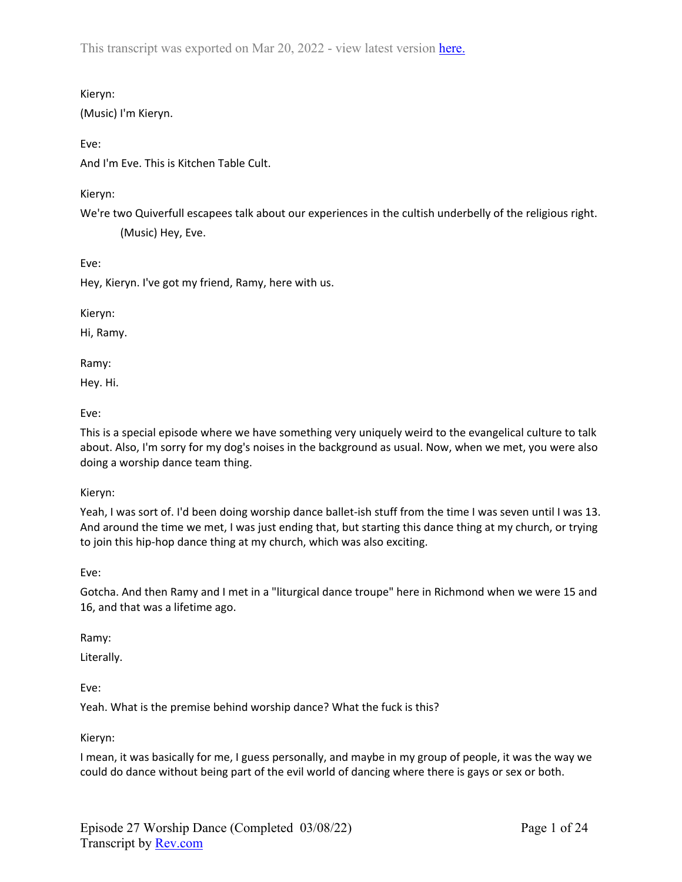Kieryn:

(Music) I'm Kieryn.

Eve:

And I'm Eve. This is Kitchen Table Cult.

## Kieryn:

We're two Quiverfull escapees talk about our experiences in the cultish underbelly of the religious right. (Music) Hey, Eve.

Eve:

Hey, Kieryn. I've got my friend, Ramy, here with us.

Kieryn:

Hi, Ramy.

Ramy:

Hey. Hi.

Eve:

This is a special episode where we have something very uniquely weird to the evangelical culture to talk about. Also, I'm sorry for my dog's noises in the background as usual. Now, when we met, you were also doing a worship dance team thing.

Kieryn:

Yeah, I was sort of. I'd been doing worship dance ballet-ish stuff from the time I was seven until I was 13. And around the time we met, I was just ending that, but starting this dance thing at my church, or trying to join this hip-hop dance thing at my church, which was also exciting.

Eve:

Gotcha. And then Ramy and I met in a "liturgical dance troupe" here in Richmond when we were 15 and 16, and that was a lifetime ago.

Ramy:

Literally.

Eve:

Yeah. What is the premise behind worship dance? What the fuck is this?

Kieryn:

I mean, it was basically for me, I guess personally, and maybe in my group of people, it was the way we could do dance without being part of the evil world of dancing where there is gays or sex or both.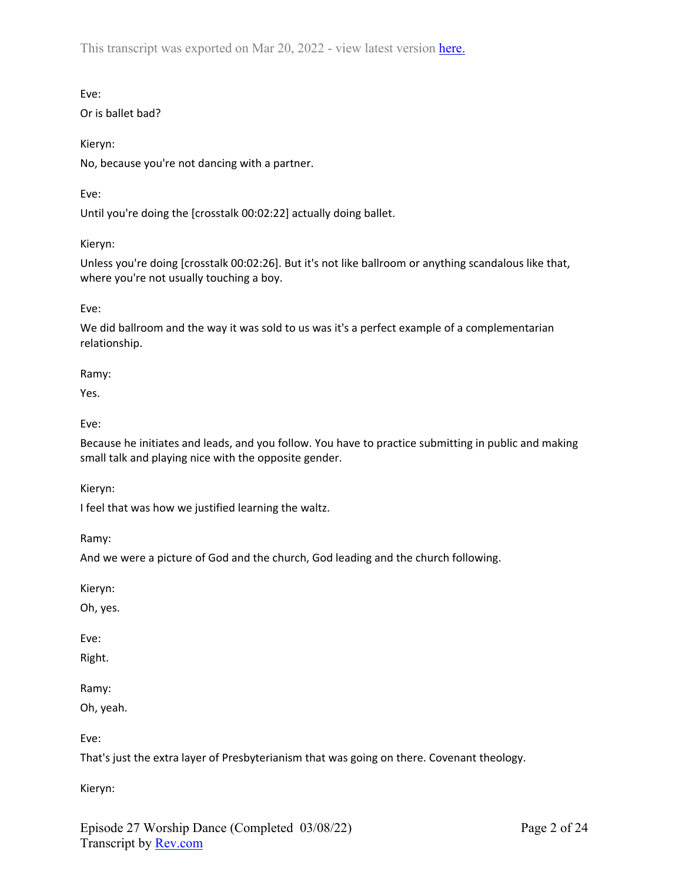Eve:

Or is ballet bad?

Kieryn:

No, because you're not dancing with a partner.

Eve:

Until you're doing the [crosstalk 00:02:22] actually doing ballet.

Kieryn:

Unless you're doing [crosstalk 00:02:26]. But it's not like ballroom or anything scandalous like that, where you're not usually touching a boy.

Eve:

We did ballroom and the way it was sold to us was it's a perfect example of a complementarian relationship.

Ramy:

Yes.

Eve:

Because he initiates and leads, and you follow. You have to practice submitting in public and making small talk and playing nice with the opposite gender.

Kieryn:

I feel that was how we justified learning the waltz.

Ramy:

And we were a picture of God and the church, God leading and the church following.

Kieryn:

Oh, yes.

Eve:

Right.

Ramy:

Oh, yeah.

Eve:

That's just the extra layer of Presbyterianism that was going on there. Covenant theology.

Kieryn: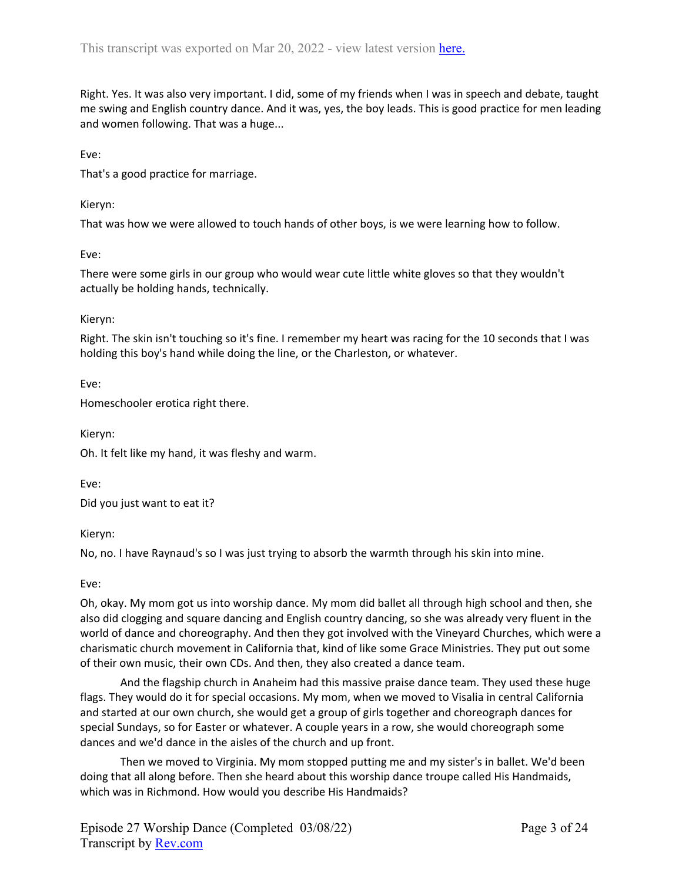Right. Yes. It was also very important. I did, some of my friends when I was in speech and debate, taught me swing and English country dance. And it was, yes, the boy leads. This is good practice for men leading and women following. That was a huge...

Eve:

That's a good practice for marriage.

Kieryn:

That was how we were allowed to touch hands of other boys, is we were learning how to follow.

Eve:

There were some girls in our group who would wear cute little white gloves so that they wouldn't actually be holding hands, technically.

Kieryn:

Right. The skin isn't touching so it's fine. I remember my heart was racing for the 10 seconds that I was holding this boy's hand while doing the line, or the Charleston, or whatever.

Eve:

Homeschooler erotica right there.

Kieryn:

Oh. It felt like my hand, it was fleshy and warm.

Eve: Did you just want to eat it?

Kieryn:

No, no. I have Raynaud's so I was just trying to absorb the warmth through his skin into mine.

Eve:

Oh, okay. My mom got us into worship dance. My mom did ballet all through high school and then, she also did clogging and square dancing and English country dancing, so she was already very fluent in the world of dance and choreography. And then they got involved with the Vineyard Churches, which were a charismatic church movement in California that, kind of like some Grace Ministries. They put out some of their own music, their own CDs. And then, they also created a dance team.

And the flagship church in Anaheim had this massive praise dance team. They used these huge flags. They would do it for special occasions. My mom, when we moved to Visalia in central California and started at our own church, she would get a group of girls together and choreograph dances for special Sundays, so for Easter or whatever. A couple years in a row, she would choreograph some dances and we'd dance in the aisles of the church and up front.

Then we moved to Virginia. My mom stopped putting me and my sister's in ballet. We'd been doing that all along before. Then she heard about this worship dance troupe called His Handmaids, which was in Richmond. How would you describe His Handmaids?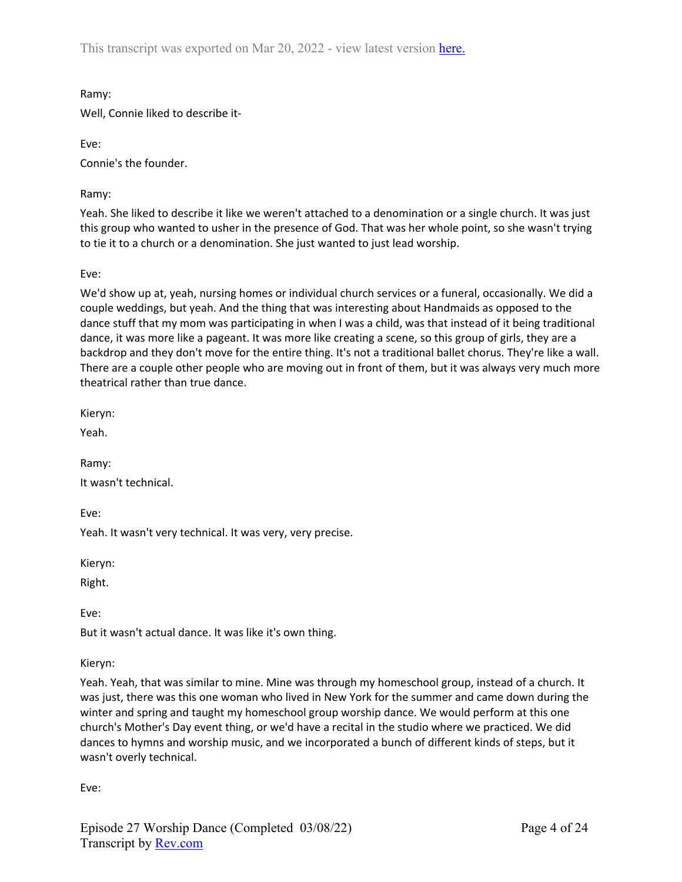Ramy:

Well, Connie liked to describe it-

Eve: Connie's the founder.

Ramy:

Yeah. She liked to describe it like we weren't attached to a denomination or a single church. It was just this group who wanted to usher in the presence of God. That was her whole point, so she wasn't trying to tie it to a church or a denomination. She just wanted to just lead worship.

Eve:

We'd show up at, yeah, nursing homes or individual church services or a funeral, occasionally. We did a couple weddings, but yeah. And the thing that was interesting about Handmaids as opposed to the dance stuff that my mom was participating in when I was a child, was that instead of it being traditional dance, it was more like a pageant. It was more like creating a scene, so this group of girls, they are a backdrop and they don't move for the entire thing. It's not a traditional ballet chorus. They're like a wall. There are a couple other people who are moving out in front of them, but it was always very much more theatrical rather than true dance.

Kieryn:

Yeah.

Ramy:

It wasn't technical.

Eve:

Yeah. It wasn't very technical. It was very, very precise.

Kieryn:

Right.

Eve:

But it wasn't actual dance. It was like it's own thing.

Kieryn:

Yeah. Yeah, that was similar to mine. Mine was through my homeschool group, instead of a church. It was just, there was this one woman who lived in New York for the summer and came down during the winter and spring and taught my homeschool group worship dance. We would perform at this one church's Mother's Day event thing, or we'd have a recital in the studio where we practiced. We did dances to hymns and worship music, and we incorporated a bunch of different kinds of steps, but it wasn't overly technical.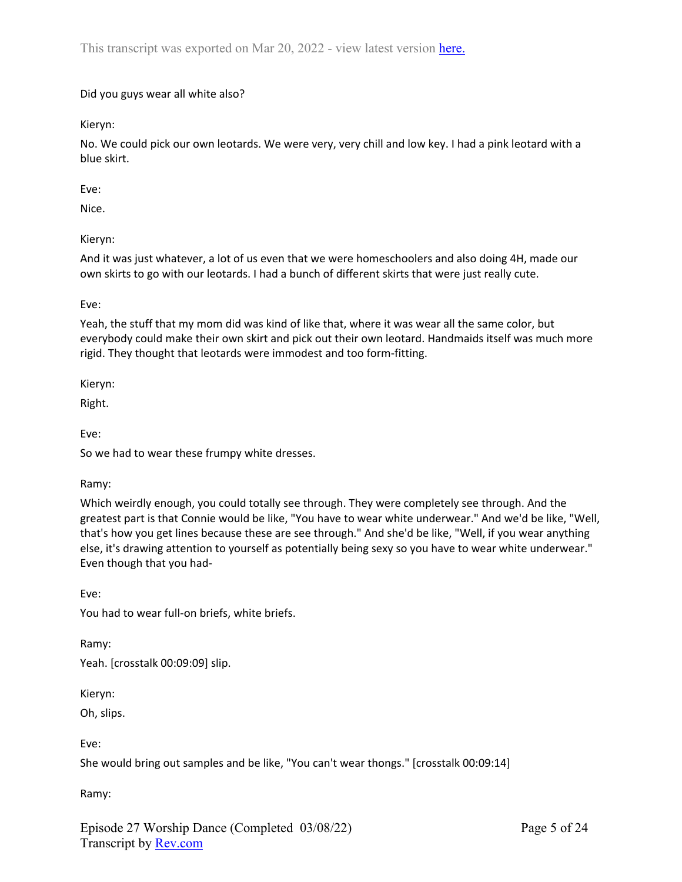# Did you guys wear all white also?

Kieryn:

No. We could pick our own leotards. We were very, very chill and low key. I had a pink leotard with a blue skirt.

Eve:

Nice.

Kieryn:

And it was just whatever, a lot of us even that we were homeschoolers and also doing 4H, made our own skirts to go with our leotards. I had a bunch of different skirts that were just really cute.

Eve:

Yeah, the stuff that my mom did was kind of like that, where it was wear all the same color, but everybody could make their own skirt and pick out their own leotard. Handmaids itself was much more rigid. They thought that leotards were immodest and too form-fitting.

Kieryn:

Right.

Eve:

So we had to wear these frumpy white dresses.

Ramy:

Which weirdly enough, you could totally see through. They were completely see through. And the greatest part is that Connie would be like, "You have to wear white underwear." And we'd be like, "Well, that's how you get lines because these are see through." And she'd be like, "Well, if you wear anything else, it's drawing attention to yourself as potentially being sexy so you have to wear white underwear." Even though that you had-

Eve: You had to wear full-on briefs, white briefs.

Ramy:

Yeah. [crosstalk 00:09:09] slip.

Kieryn:

Oh, slips.

Eve:

She would bring out samples and be like, "You can't wear thongs." [crosstalk 00:09:14]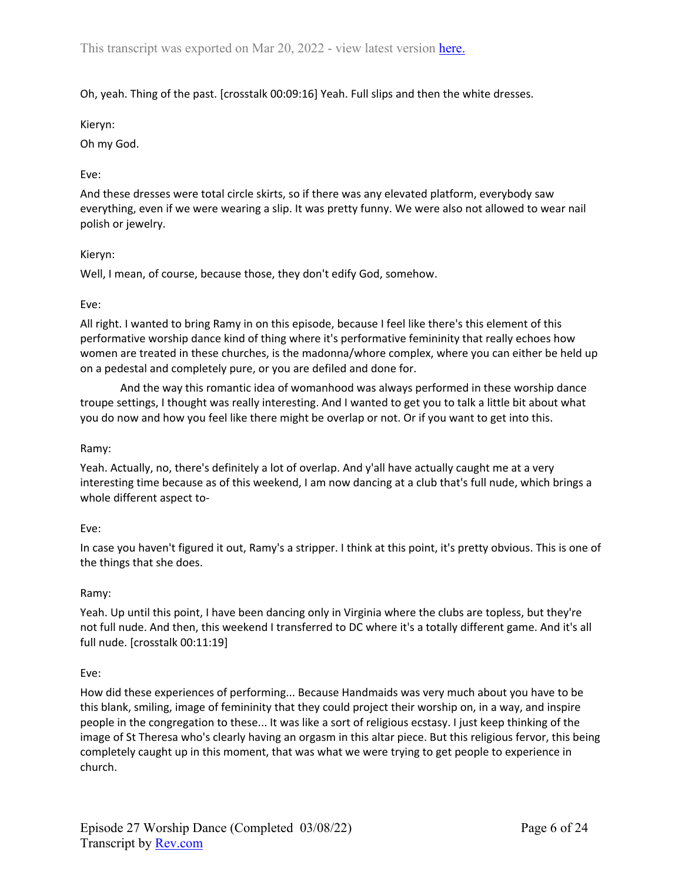Oh, yeah. Thing of the past. [crosstalk 00:09:16] Yeah. Full slips and then the white dresses.

## Kieryn:

Oh my God.

# Eve:

And these dresses were total circle skirts, so if there was any elevated platform, everybody saw everything, even if we were wearing a slip. It was pretty funny. We were also not allowed to wear nail polish or jewelry.

# Kieryn:

Well, I mean, of course, because those, they don't edify God, somehow.

# Eve:

All right. I wanted to bring Ramy in on this episode, because I feel like there's this element of this performative worship dance kind of thing where it's performative femininity that really echoes how women are treated in these churches, is the madonna/whore complex, where you can either be held up on a pedestal and completely pure, or you are defiled and done for.

And the way this romantic idea of womanhood was always performed in these worship dance troupe settings, I thought was really interesting. And I wanted to get you to talk a little bit about what you do now and how you feel like there might be overlap or not. Or if you want to get into this.

## Ramy:

Yeah. Actually, no, there's definitely a lot of overlap. And y'all have actually caught me at a very interesting time because as of this weekend, I am now dancing at a club that's full nude, which brings a whole different aspect to-

## Eve:

In case you haven't figured it out, Ramy's a stripper. I think at this point, it's pretty obvious. This is one of the things that she does.

## Ramy:

Yeah. Up until this point, I have been dancing only in Virginia where the clubs are topless, but they're not full nude. And then, this weekend I transferred to DC where it's a totally different game. And it's all full nude. [crosstalk 00:11:19]

## Eve:

How did these experiences of performing... Because Handmaids was very much about you have to be this blank, smiling, image of femininity that they could project their worship on, in a way, and inspire people in the congregation to these... It was like a sort of religious ecstasy. I just keep thinking of the image of St Theresa who's clearly having an orgasm in this altar piece. But this religious fervor, this being completely caught up in this moment, that was what we were trying to get people to experience in church.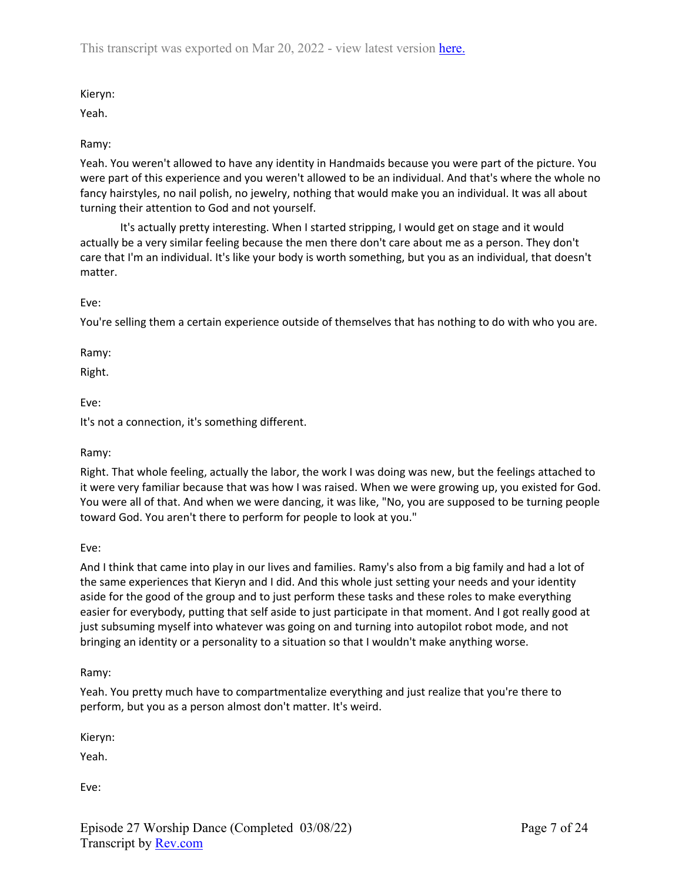# Kieryn:

Yeah.

# Ramy:

Yeah. You weren't allowed to have any identity in Handmaids because you were part of the picture. You were part of this experience and you weren't allowed to be an individual. And that's where the whole no fancy hairstyles, no nail polish, no jewelry, nothing that would make you an individual. It was all about turning their attention to God and not yourself.

It's actually pretty interesting. When I started stripping, I would get on stage and it would actually be a very similar feeling because the men there don't care about me as a person. They don't care that I'm an individual. It's like your body is worth something, but you as an individual, that doesn't matter.

# Eve:

You're selling them a certain experience outside of themselves that has nothing to do with who you are.

Ramy:

Right.

Eve:

It's not a connection, it's something different.

Ramy:

Right. That whole feeling, actually the labor, the work I was doing was new, but the feelings attached to it were very familiar because that was how I was raised. When we were growing up, you existed for God. You were all of that. And when we were dancing, it was like, "No, you are supposed to be turning people toward God. You aren't there to perform for people to look at you."

Eve:

And I think that came into play in our lives and families. Ramy's also from a big family and had a lot of the same experiences that Kieryn and I did. And this whole just setting your needs and your identity aside for the good of the group and to just perform these tasks and these roles to make everything easier for everybody, putting that self aside to just participate in that moment. And I got really good at just subsuming myself into whatever was going on and turning into autopilot robot mode, and not bringing an identity or a personality to a situation so that I wouldn't make anything worse.

Ramy:

Yeah. You pretty much have to compartmentalize everything and just realize that you're there to perform, but you as a person almost don't matter. It's weird.

Kieryn:

Yeah.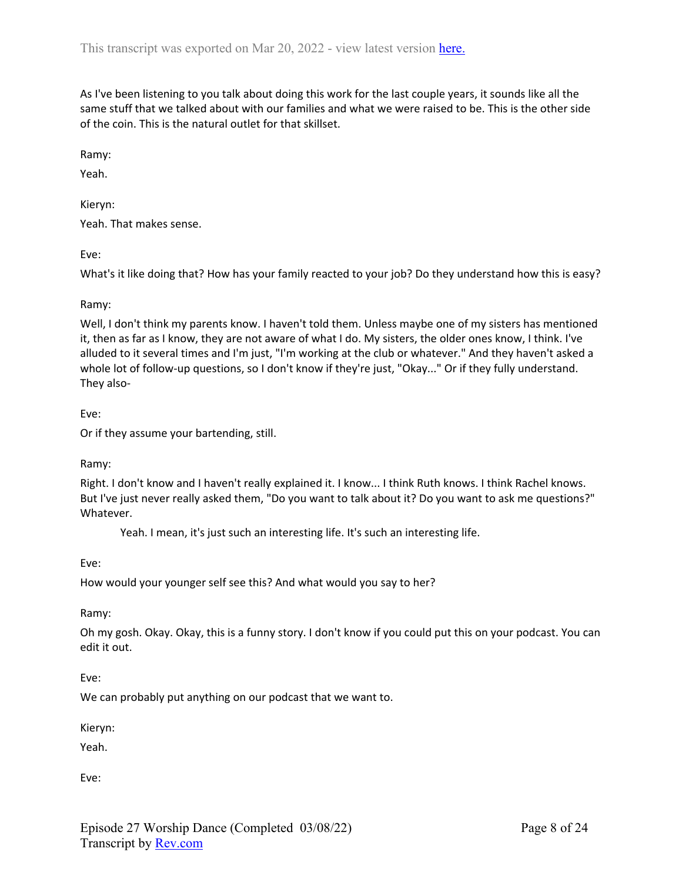As I've been listening to you talk about doing this work for the last couple years, it sounds like all the same stuff that we talked about with our families and what we were raised to be. This is the other side of the coin. This is the natural outlet for that skillset.

Ramy:

Yeah.

Kieryn:

Yeah. That makes sense.

Eve:

What's it like doing that? How has your family reacted to your job? Do they understand how this is easy?

#### Ramy:

Well, I don't think my parents know. I haven't told them. Unless maybe one of my sisters has mentioned it, then as far as I know, they are not aware of what I do. My sisters, the older ones know, I think. I've alluded to it several times and I'm just, "I'm working at the club or whatever." And they haven't asked a whole lot of follow-up questions, so I don't know if they're just, "Okay..." Or if they fully understand. They also-

#### Eve:

Or if they assume your bartending, still.

## Ramy:

Right. I don't know and I haven't really explained it. I know... I think Ruth knows. I think Rachel knows. But I've just never really asked them, "Do you want to talk about it? Do you want to ask me questions?" Whatever.

Yeah. I mean, it's just such an interesting life. It's such an interesting life.

Eve:

How would your younger self see this? And what would you say to her?

Ramy:

Oh my gosh. Okay. Okay, this is a funny story. I don't know if you could put this on your podcast. You can edit it out.

Eve:

We can probably put anything on our podcast that we want to.

Kieryn:

Yeah.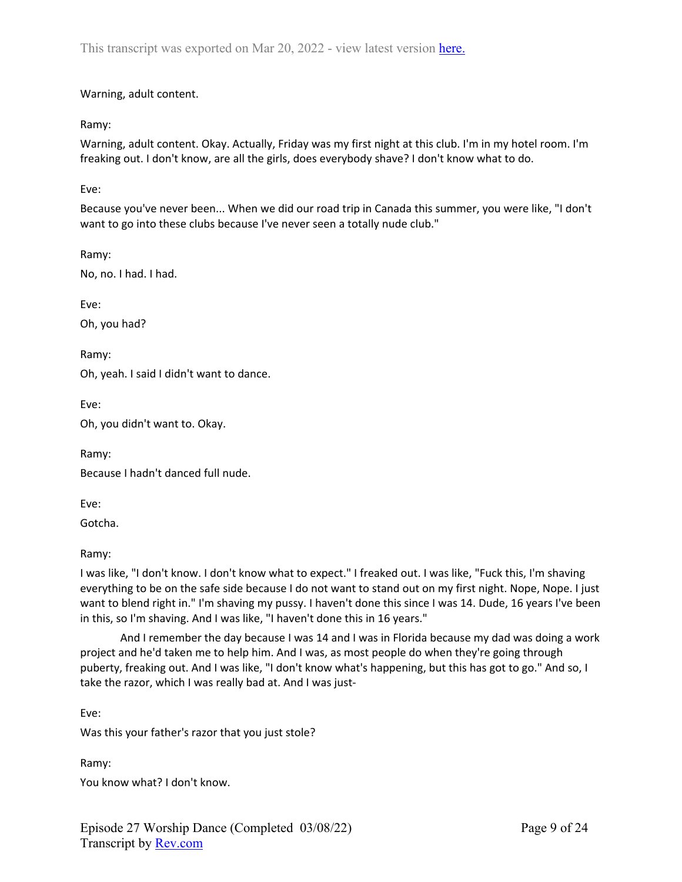Warning, adult content.

Ramy:

Warning, adult content. Okay. Actually, Friday was my first night at this club. I'm in my hotel room. I'm freaking out. I don't know, are all the girls, does everybody shave? I don't know what to do.

Eve:

Because you've never been... When we did our road trip in Canada this summer, you were like, "I don't want to go into these clubs because I've never seen a totally nude club."

Ramy: No, no. I had. I had.

Eve:

Oh, you had?

Ramy: Oh, yeah. I said I didn't want to dance.

Eve:

Oh, you didn't want to. Okay.

Ramy:

Because I hadn't danced full nude.

Eve:

Gotcha.

Ramy:

I was like, "I don't know. I don't know what to expect." I freaked out. I was like, "Fuck this, I'm shaving everything to be on the safe side because I do not want to stand out on my first night. Nope, Nope. I just want to blend right in." I'm shaving my pussy. I haven't done this since I was 14. Dude, 16 years I've been in this, so I'm shaving. And I was like, "I haven't done this in 16 years."

And I remember the day because I was 14 and I was in Florida because my dad was doing a work project and he'd taken me to help him. And I was, as most people do when they're going through puberty, freaking out. And I was like, "I don't know what's happening, but this has got to go." And so, I take the razor, which I was really bad at. And I was just-

Eve:

Was this your father's razor that you just stole?

Ramy:

You know what? I don't know.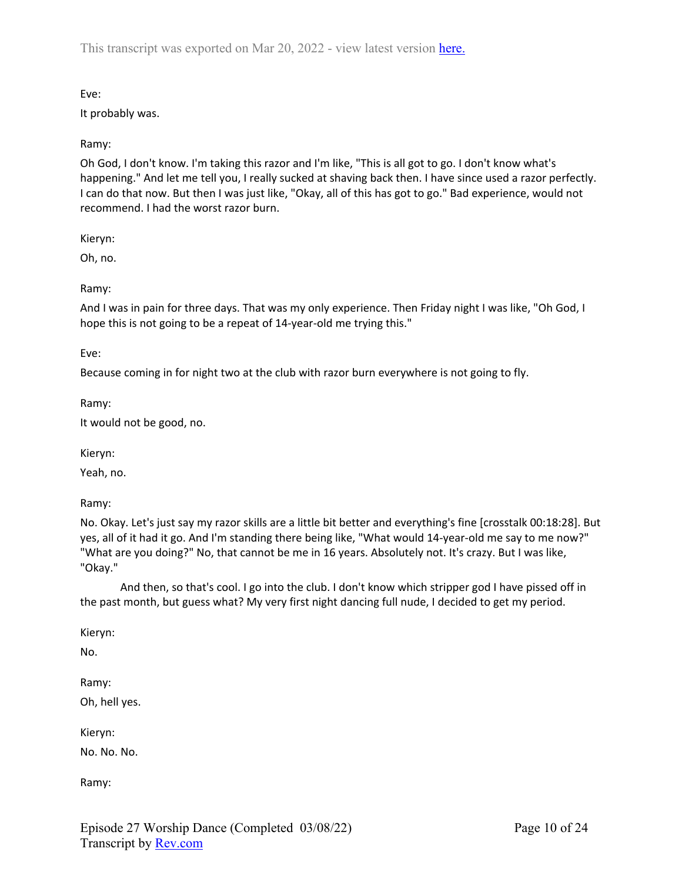Eve:

It probably was.

Ramy:

Oh God, I don't know. I'm taking this razor and I'm like, "This is all got to go. I don't know what's happening." And let me tell you, I really sucked at shaving back then. I have since used a razor perfectly. I can do that now. But then I was just like, "Okay, all of this has got to go." Bad experience, would not recommend. I had the worst razor burn.

Kieryn:

Oh, no.

Ramy:

And I was in pain for three days. That was my only experience. Then Friday night I was like, "Oh God, I hope this is not going to be a repeat of 14-year-old me trying this."

Eve:

Because coming in for night two at the club with razor burn everywhere is not going to fly.

Ramy:

It would not be good, no.

Kieryn:

Yeah, no.

Ramy:

No. Okay. Let's just say my razor skills are a little bit better and everything's fine [crosstalk 00:18:28]. But yes, all of it had it go. And I'm standing there being like, "What would 14-year-old me say to me now?" "What are you doing?" No, that cannot be me in 16 years. Absolutely not. It's crazy. But I was like, "Okay."

And then, so that's cool. I go into the club. I don't know which stripper god I have pissed off in the past month, but guess what? My very first night dancing full nude, I decided to get my period.

Kieryn:

No.

Ramy:

Oh, hell yes.

Kieryn:

No. No. No.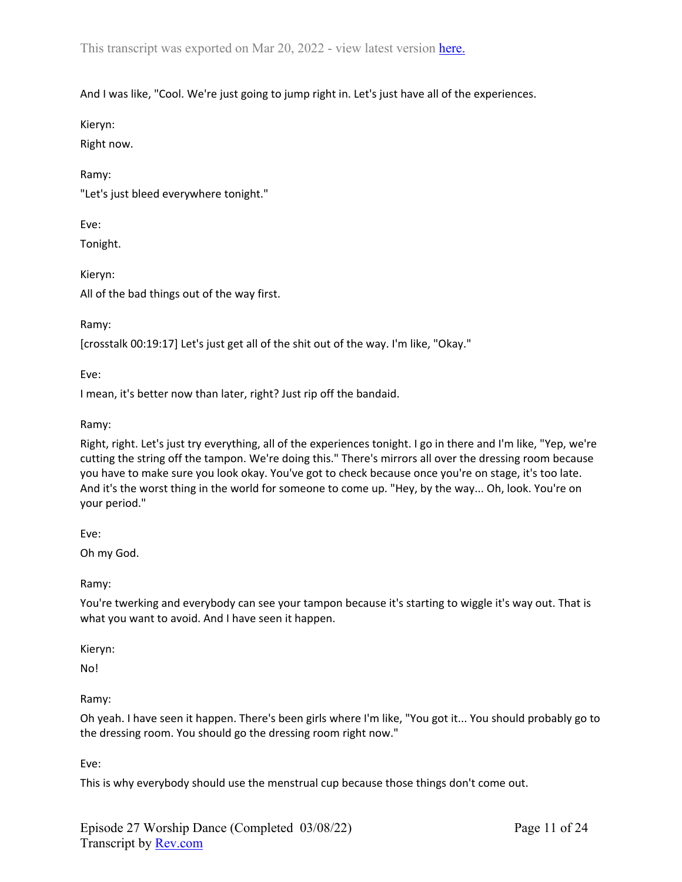And I was like, "Cool. We're just going to jump right in. Let's just have all of the experiences.

Kieryn:

Right now.

Ramy: "Let's just bleed everywhere tonight."

Eve:

Tonight.

Kieryn: All of the bad things out of the way first.

Ramy:

[crosstalk 00:19:17] Let's just get all of the shit out of the way. I'm like, "Okay."

Eve:

I mean, it's better now than later, right? Just rip off the bandaid.

Ramy:

Right, right. Let's just try everything, all of the experiences tonight. I go in there and I'm like, "Yep, we're cutting the string off the tampon. We're doing this." There's mirrors all over the dressing room because you have to make sure you look okay. You've got to check because once you're on stage, it's too late. And it's the worst thing in the world for someone to come up. "Hey, by the way... Oh, look. You're on your period."

Eve:

Oh my God.

Ramy:

You're twerking and everybody can see your tampon because it's starting to wiggle it's way out. That is what you want to avoid. And I have seen it happen.

Kieryn:

No!

Ramy:

Oh yeah. I have seen it happen. There's been girls where I'm like, "You got it... You should probably go to the dressing room. You should go the dressing room right now."

Eve:

This is why everybody should use the menstrual cup because those things don't come out.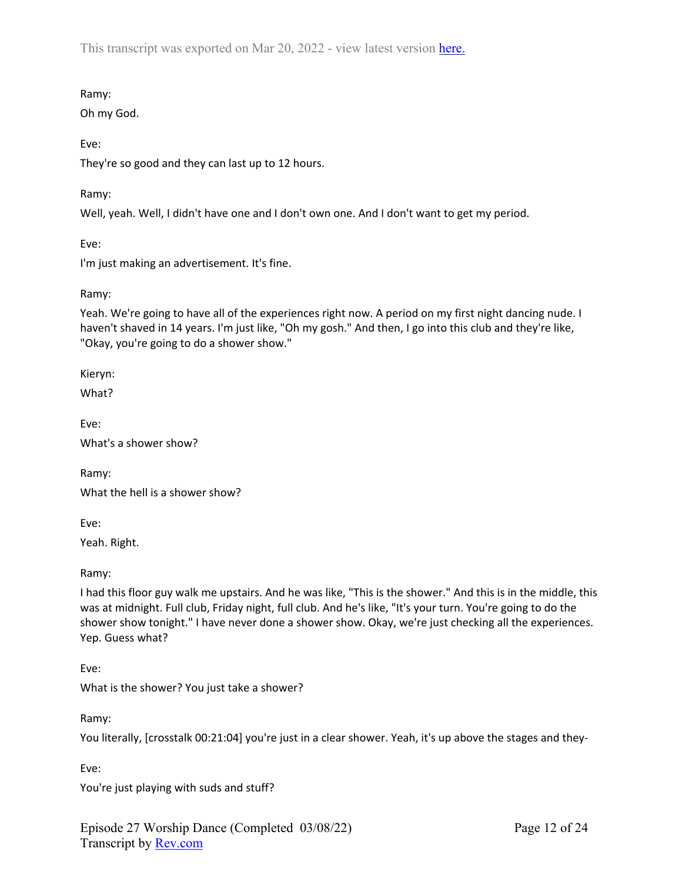# Ramy:

Oh my God.

Eve:

They're so good and they can last up to 12 hours.

Ramy:

Well, yeah. Well, I didn't have one and I don't own one. And I don't want to get my period.

Eve:

I'm just making an advertisement. It's fine.

Ramy:

Yeah. We're going to have all of the experiences right now. A period on my first night dancing nude. I haven't shaved in 14 years. I'm just like, "Oh my gosh." And then, I go into this club and they're like, "Okay, you're going to do a shower show."

Kieryn:

What?

Eve:

What's a shower show?

Ramy: What the hell is a shower show?

Eve:

Yeah. Right.

Ramy:

I had this floor guy walk me upstairs. And he was like, "This is the shower." And this is in the middle, this was at midnight. Full club, Friday night, full club. And he's like, "It's your turn. You're going to do the shower show tonight." I have never done a shower show. Okay, we're just checking all the experiences. Yep. Guess what?

Eve:

What is the shower? You just take a shower?

Ramy:

You literally, [crosstalk 00:21:04] you're just in a clear shower. Yeah, it's up above the stages and they-

Eve:

You're just playing with suds and stuff?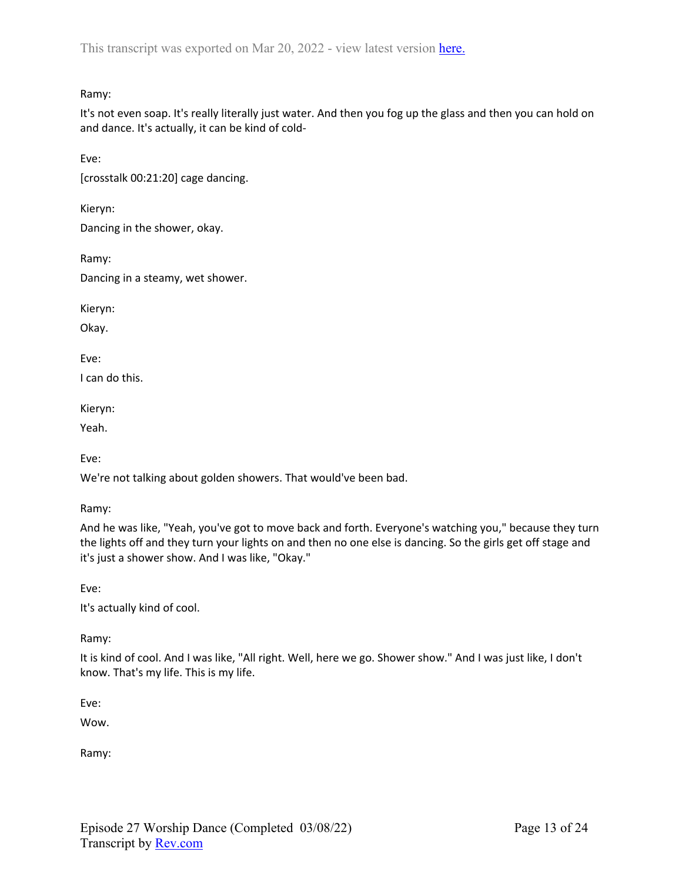Ramy:

It's not even soap. It's really literally just water. And then you fog up the glass and then you can hold on and dance. It's actually, it can be kind of cold-

Eve:

[crosstalk 00:21:20] cage dancing.

Kieryn: Dancing in the shower, okay.

Ramy:

Dancing in a steamy, wet shower.

Kieryn:

Okay.

Eve:

I can do this.

Kieryn:

Yeah.

Eve:

We're not talking about golden showers. That would've been bad.

Ramy:

And he was like, "Yeah, you've got to move back and forth. Everyone's watching you," because they turn the lights off and they turn your lights on and then no one else is dancing. So the girls get off stage and it's just a shower show. And I was like, "Okay."

Eve:

It's actually kind of cool.

Ramy:

It is kind of cool. And I was like, "All right. Well, here we go. Shower show." And I was just like, I don't know. That's my life. This is my life.

Eve:

Wow.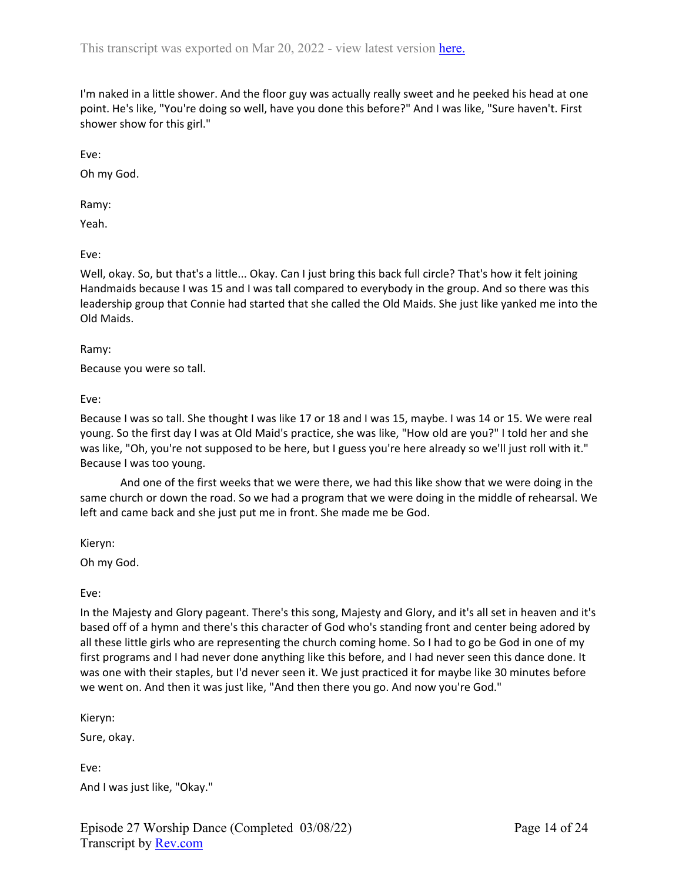I'm naked in a little shower. And the floor guy was actually really sweet and he peeked his head at one point. He's like, "You're doing so well, have you done this before?" And I was like, "Sure haven't. First shower show for this girl."

Eve:

Oh my God.

Ramy:

Yeah.

Eve:

Well, okay. So, but that's a little... Okay. Can I just bring this back full circle? That's how it felt joining Handmaids because I was 15 and I was tall compared to everybody in the group. And so there was this leadership group that Connie had started that she called the Old Maids. She just like yanked me into the Old Maids.

Ramy:

Because you were so tall.

Eve:

Because I was so tall. She thought I was like 17 or 18 and I was 15, maybe. I was 14 or 15. We were real young. So the first day I was at Old Maid's practice, she was like, "How old are you?" I told her and she was like, "Oh, you're not supposed to be here, but I guess you're here already so we'll just roll with it." Because I was too young.

And one of the first weeks that we were there, we had this like show that we were doing in the same church or down the road. So we had a program that we were doing in the middle of rehearsal. We left and came back and she just put me in front. She made me be God.

Kieryn:

Oh my God.

Eve:

In the Majesty and Glory pageant. There's this song, Majesty and Glory, and it's all set in heaven and it's based off of a hymn and there's this character of God who's standing front and center being adored by all these little girls who are representing the church coming home. So I had to go be God in one of my first programs and I had never done anything like this before, and I had never seen this dance done. It was one with their staples, but I'd never seen it. We just practiced it for maybe like 30 minutes before we went on. And then it was just like, "And then there you go. And now you're God."

Kieryn:

Sure, okay.

Eve: And I was just like, "Okay."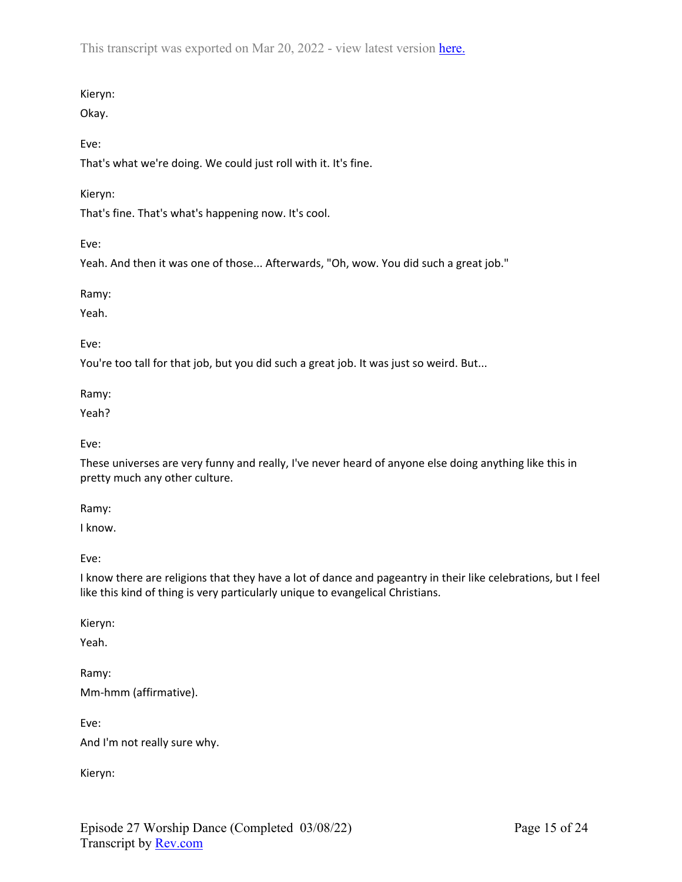# Kieryn:

Okay.

# Eve:

That's what we're doing. We could just roll with it. It's fine.

## Kieryn:

That's fine. That's what's happening now. It's cool.

Eve:

Yeah. And then it was one of those... Afterwards, "Oh, wow. You did such a great job."

Ramy:

Yeah.

Eve:

You're too tall for that job, but you did such a great job. It was just so weird. But...

Ramy:

Yeah?

# Eve:

These universes are very funny and really, I've never heard of anyone else doing anything like this in pretty much any other culture.

Ramy:

I know.

Eve:

I know there are religions that they have a lot of dance and pageantry in their like celebrations, but I feel like this kind of thing is very particularly unique to evangelical Christians.

Kieryn:

Yeah.

Ramy: Mm-hmm (affirmative).

Eve: And I'm not really sure why.

Kieryn: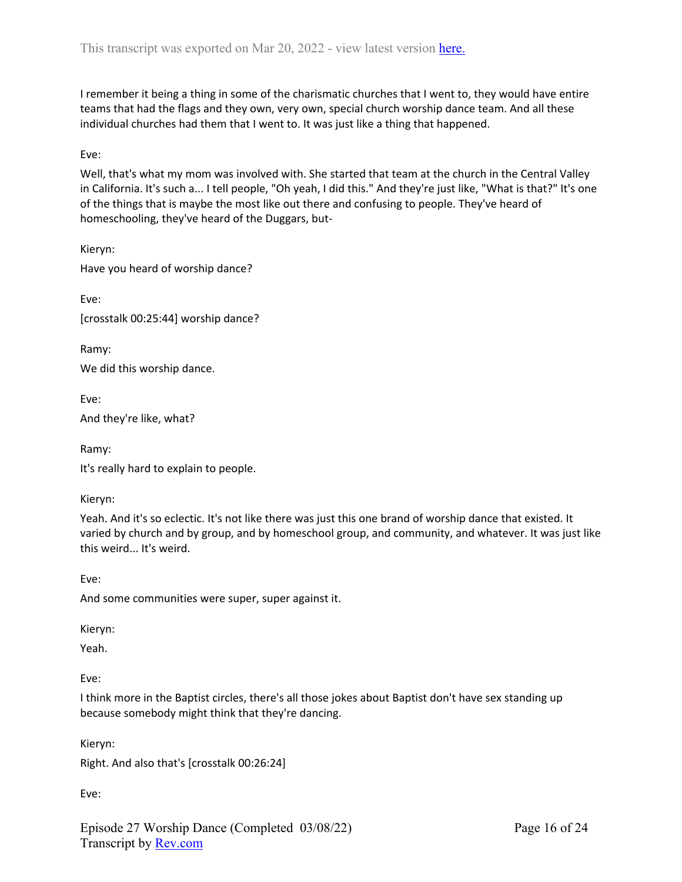I remember it being a thing in some of the charismatic churches that I went to, they would have entire teams that had the flags and they own, very own, special church worship dance team. And all these individual churches had them that I went to. It was just like a thing that happened.

Eve:

Well, that's what my mom was involved with. She started that team at the church in the Central Valley in California. It's such a... I tell people, "Oh yeah, I did this." And they're just like, "What is that?" It's one of the things that is maybe the most like out there and confusing to people. They've heard of homeschooling, they've heard of the Duggars, but-

Kieryn: Have you heard of worship dance?

Eve: [crosstalk 00:25:44] worship dance?

Ramy:

We did this worship dance.

Eve:

And they're like, what?

Ramy:

It's really hard to explain to people.

Kieryn:

Yeah. And it's so eclectic. It's not like there was just this one brand of worship dance that existed. It varied by church and by group, and by homeschool group, and community, and whatever. It was just like this weird... It's weird.

Eve:

And some communities were super, super against it.

Kieryn:

Yeah.

Eve:

I think more in the Baptist circles, there's all those jokes about Baptist don't have sex standing up because somebody might think that they're dancing.

Kieryn:

Right. And also that's [crosstalk 00:26:24]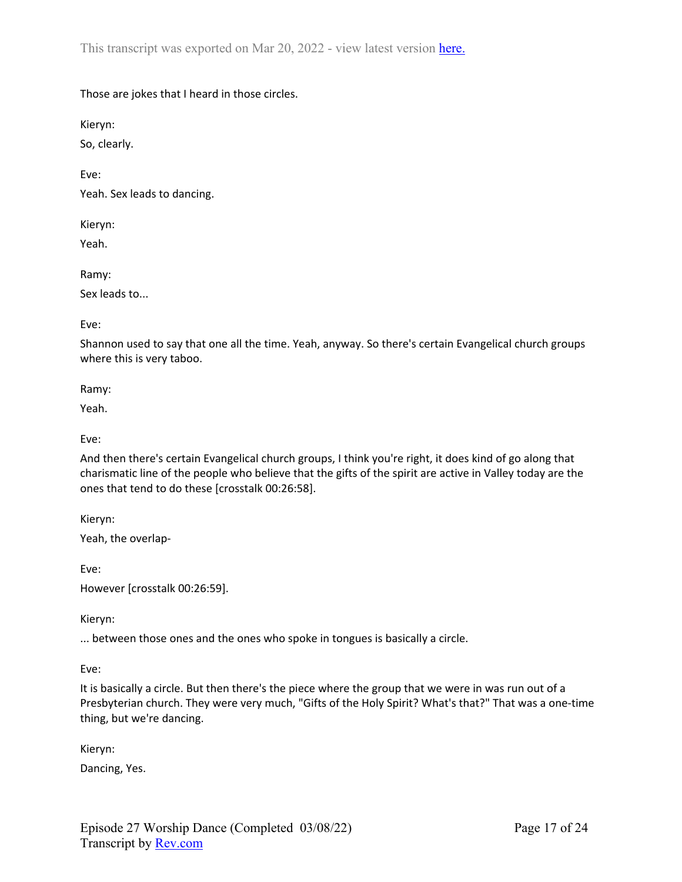Those are jokes that I heard in those circles.

Kieryn:

So, clearly.

Eve:

Yeah. Sex leads to dancing.

Kieryn:

Yeah.

Ramy:

Sex leads to...

Eve:

Shannon used to say that one all the time. Yeah, anyway. So there's certain Evangelical church groups where this is very taboo.

Ramy:

Yeah.

Eve:

And then there's certain Evangelical church groups, I think you're right, it does kind of go along that charismatic line of the people who believe that the gifts of the spirit are active in Valley today are the ones that tend to do these [crosstalk 00:26:58].

Kieryn:

Yeah, the overlap-

Eve: However [crosstalk 00:26:59].

Kieryn:

... between those ones and the ones who spoke in tongues is basically a circle.

Eve:

It is basically a circle. But then there's the piece where the group that we were in was run out of a Presbyterian church. They were very much, "Gifts of the Holy Spirit? What's that?" That was a one-time thing, but we're dancing.

Kieryn:

Dancing, Yes.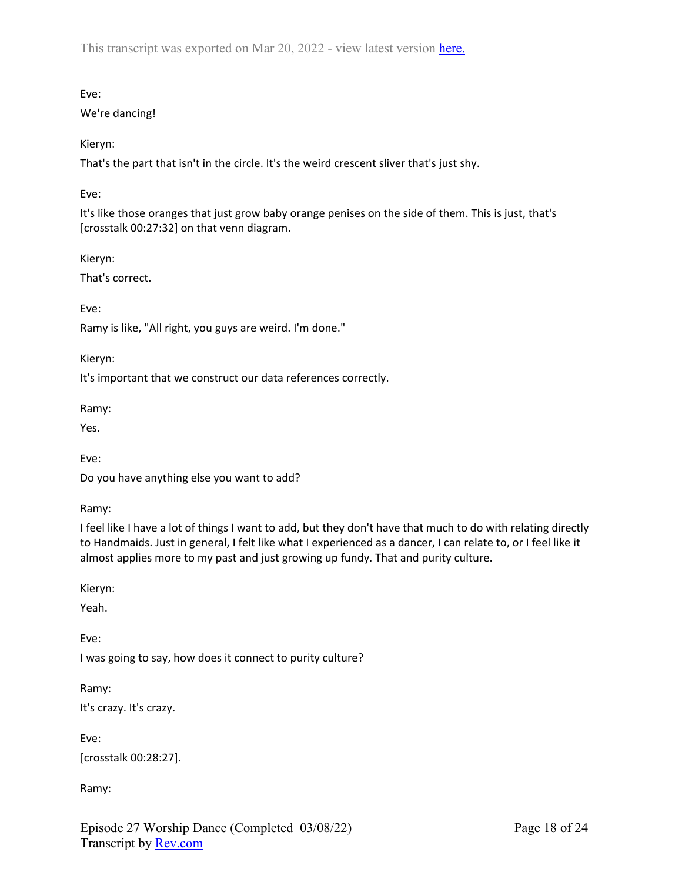Eve:

We're dancing!

Kieryn:

That's the part that isn't in the circle. It's the weird crescent sliver that's just shy.

Eve:

It's like those oranges that just grow baby orange penises on the side of them. This is just, that's [crosstalk 00:27:32] on that venn diagram.

Kieryn:

That's correct.

Eve:

Ramy is like, "All right, you guys are weird. I'm done."

Kieryn:

It's important that we construct our data references correctly.

Ramy:

Yes.

Eve:

Do you have anything else you want to add?

Ramy:

I feel like I have a lot of things I want to add, but they don't have that much to do with relating directly to Handmaids. Just in general, I felt like what I experienced as a dancer, I can relate to, or I feel like it almost applies more to my past and just growing up fundy. That and purity culture.

Kieryn:

Yeah.

Eve:

I was going to say, how does it connect to purity culture?

Ramy: It's crazy. It's crazy.

Eve: [crosstalk 00:28:27].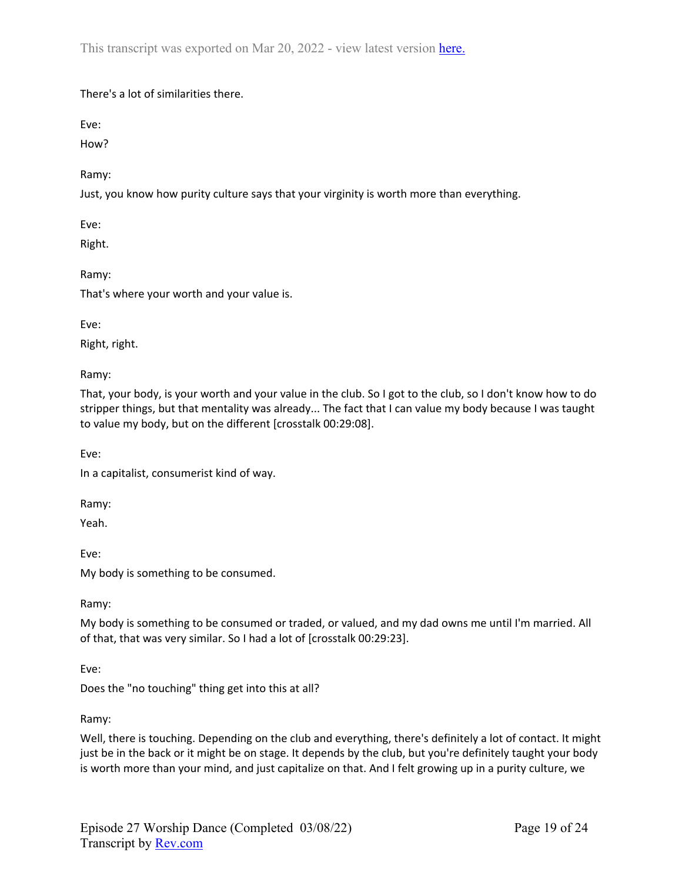There's a lot of similarities there.

Eve:

How?

Ramy:

Just, you know how purity culture says that your virginity is worth more than everything.

Eve:

Right.

Ramy:

That's where your worth and your value is.

Eve:

Right, right.

Ramy:

That, your body, is your worth and your value in the club. So I got to the club, so I don't know how to do stripper things, but that mentality was already... The fact that I can value my body because I was taught to value my body, but on the different [crosstalk 00:29:08].

Eve:

In a capitalist, consumerist kind of way.

Ramy:

Yeah.

Eve:

My body is something to be consumed.

Ramy:

My body is something to be consumed or traded, or valued, and my dad owns me until I'm married. All of that, that was very similar. So I had a lot of [crosstalk 00:29:23].

Eve:

Does the "no touching" thing get into this at all?

Ramy:

Well, there is touching. Depending on the club and everything, there's definitely a lot of contact. It might just be in the back or it might be on stage. It depends by the club, but you're definitely taught your body is worth more than your mind, and just capitalize on that. And I felt growing up in a purity culture, we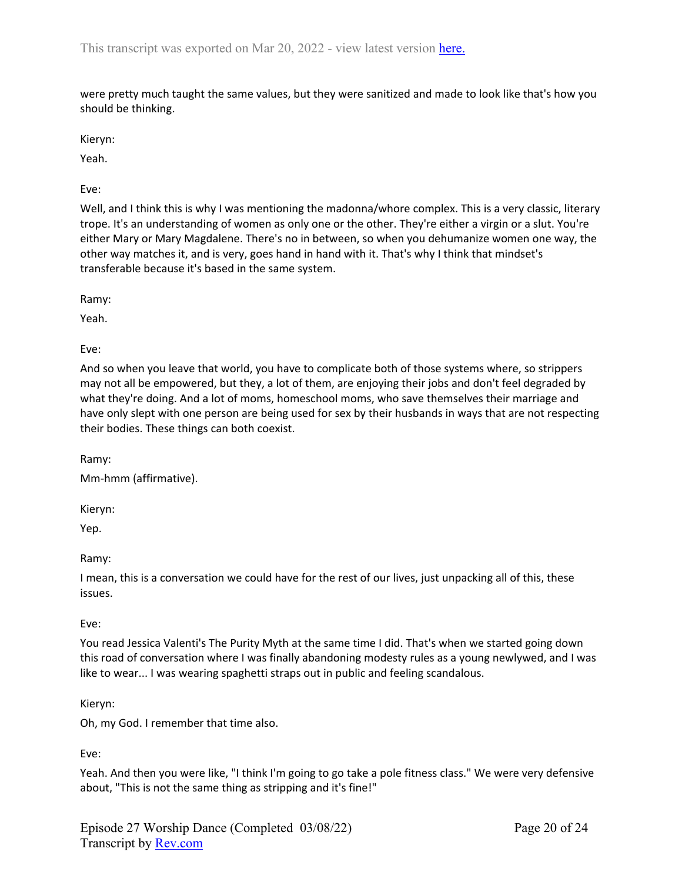were pretty much taught the same values, but they were sanitized and made to look like that's how you should be thinking.

Kieryn:

Yeah.

Eve:

Well, and I think this is why I was mentioning the madonna/whore complex. This is a very classic, literary trope. It's an understanding of women as only one or the other. They're either a virgin or a slut. You're either Mary or Mary Magdalene. There's no in between, so when you dehumanize women one way, the other way matches it, and is very, goes hand in hand with it. That's why I think that mindset's transferable because it's based in the same system.

Ramy:

Yeah.

Eve:

And so when you leave that world, you have to complicate both of those systems where, so strippers may not all be empowered, but they, a lot of them, are enjoying their jobs and don't feel degraded by what they're doing. And a lot of moms, homeschool moms, who save themselves their marriage and have only slept with one person are being used for sex by their husbands in ways that are not respecting their bodies. These things can both coexist.

Ramy:

Mm-hmm (affirmative).

Kieryn:

Yep.

Ramy:

I mean, this is a conversation we could have for the rest of our lives, just unpacking all of this, these issues.

Eve:

You read Jessica Valenti's The Purity Myth at the same time I did. That's when we started going down this road of conversation where I was finally abandoning modesty rules as a young newlywed, and I was like to wear... I was wearing spaghetti straps out in public and feeling scandalous.

Kieryn:

Oh, my God. I remember that time also.

Eve:

Yeah. And then you were like, "I think I'm going to go take a pole fitness class." We were very defensive about, "This is not the same thing as stripping and it's fine!"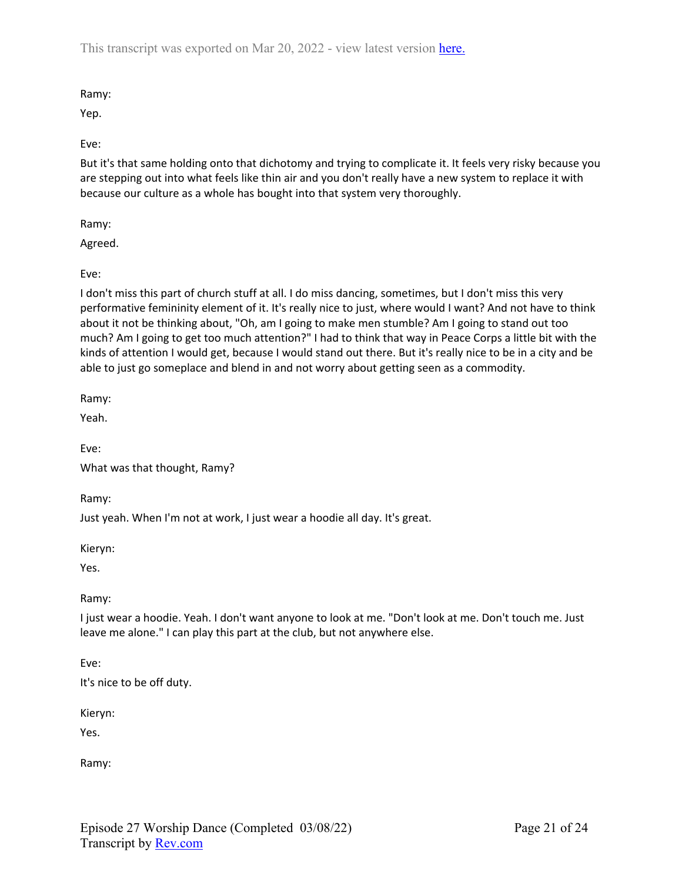Ramy:

Yep.

Eve:

But it's that same holding onto that dichotomy and trying to complicate it. It feels very risky because you are stepping out into what feels like thin air and you don't really have a new system to replace it with because our culture as a whole has bought into that system very thoroughly.

Ramy:

Agreed.

Eve:

I don't miss this part of church stuff at all. I do miss dancing, sometimes, but I don't miss this very performative femininity element of it. It's really nice to just, where would I want? And not have to think about it not be thinking about, "Oh, am I going to make men stumble? Am I going to stand out too much? Am I going to get too much attention?" I had to think that way in Peace Corps a little bit with the kinds of attention I would get, because I would stand out there. But it's really nice to be in a city and be able to just go someplace and blend in and not worry about getting seen as a commodity.

Ramy:

Yeah.

Eve: What was that thought, Ramy?

Ramy:

Just yeah. When I'm not at work, I just wear a hoodie all day. It's great.

Kieryn:

Yes.

Ramy:

I just wear a hoodie. Yeah. I don't want anyone to look at me. "Don't look at me. Don't touch me. Just leave me alone." I can play this part at the club, but not anywhere else.

Eve:

It's nice to be off duty.

Kieryn:

Yes.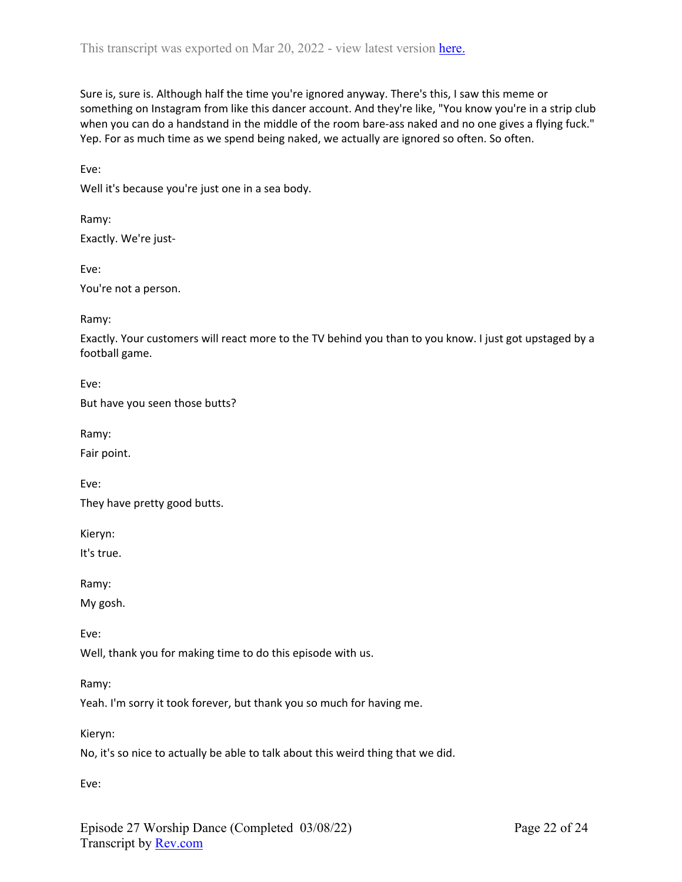Sure is, sure is. Although half the time you're ignored anyway. There's this, I saw this meme or something on Instagram from like this dancer account. And they're like, "You know you're in a strip club when you can do a handstand in the middle of the room bare-ass naked and no one gives a flying fuck." Yep. For as much time as we spend being naked, we actually are ignored so often. So often.

Eve:

Well it's because you're just one in a sea body.

Ramy: Exactly. We're just-

Eve: You're not a person.

Ramy:

Exactly. Your customers will react more to the TV behind you than to you know. I just got upstaged by a football game.

Eve:

But have you seen those butts?

Ramy:

Fair point.

Eve: They have pretty good butts.

Kieryn:

It's true.

Ramy:

My gosh.

Eve:

Well, thank you for making time to do this episode with us.

Ramy:

Yeah. I'm sorry it took forever, but thank you so much for having me.

Kieryn:

No, it's so nice to actually be able to talk about this weird thing that we did.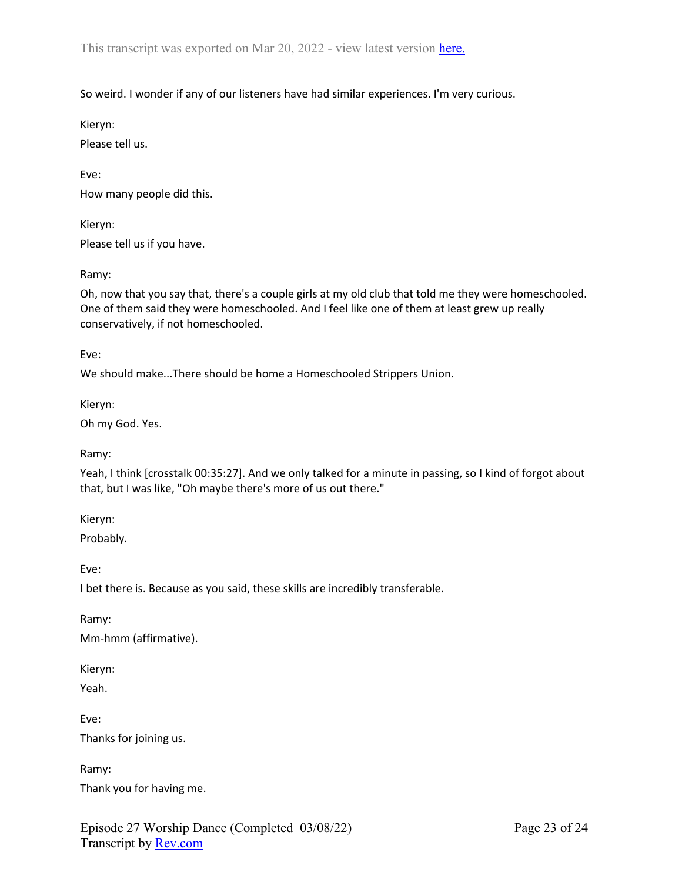So weird. I wonder if any of our listeners have had similar experiences. I'm very curious.

Kieryn:

Please tell us.

Eve: How many people did this.

Kieryn: Please tell us if you have.

Ramy:

Oh, now that you say that, there's a couple girls at my old club that told me they were homeschooled. One of them said they were homeschooled. And I feel like one of them at least grew up really conservatively, if not homeschooled.

Eve:

We should make...There should be home a Homeschooled Strippers Union.

Kieryn:

Oh my God. Yes.

Ramy:

Yeah, I think [crosstalk 00:35:27]. And we only talked for a minute in passing, so I kind of forgot about that, but I was like, "Oh maybe there's more of us out there."

Kieryn:

Probably.

Eve:

I bet there is. Because as you said, these skills are incredibly transferable.

Ramy:

Mm-hmm (affirmative).

Kieryn:

Yeah.

Eve:

Thanks for joining us.

Ramy:

Thank you for having me.